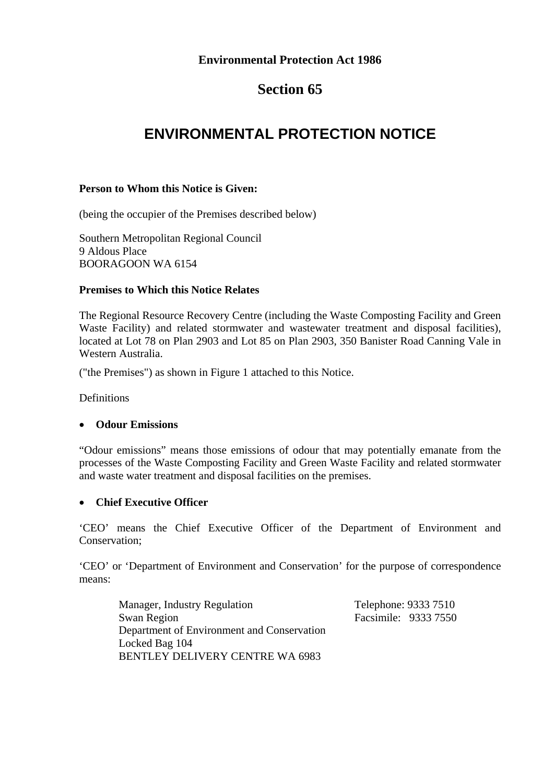### **Environmental Protection Act 1986**

## **Section 65**

# **ENVIRONMENTAL PROTECTION NOTICE**

#### **Person to Whom this Notice is Given:**

(being the occupier of the Premises described below)

Southern Metropolitan Regional Council 9 Aldous Place BOORAGOON WA 6154

#### **Premises to Which this Notice Relates**

The Regional Resource Recovery Centre (including the Waste Composting Facility and Green Waste Facility) and related stormwater and wastewater treatment and disposal facilities), located at Lot 78 on Plan 2903 and Lot 85 on Plan 2903, 350 Banister Road Canning Vale in Western Australia.

("the Premises") as shown in Figure 1 attached to this Notice.

**Definitions** 

#### • **Odour Emissions**

"Odour emissions" means those emissions of odour that may potentially emanate from the processes of the Waste Composting Facility and Green Waste Facility and related stormwater and waste water treatment and disposal facilities on the premises.

#### • **Chief Executive Officer**

'CEO' means the Chief Executive Officer of the Department of Environment and Conservation;

'CEO' or 'Department of Environment and Conservation' for the purpose of correspondence means:

Manager, Industry Regulation Swan Region Department of Environment and Conservation Locked Bag 104 BENTLEY DELIVERY CENTRE WA 6983 Telephone: 9333 7510 Facsimile: 9333 7550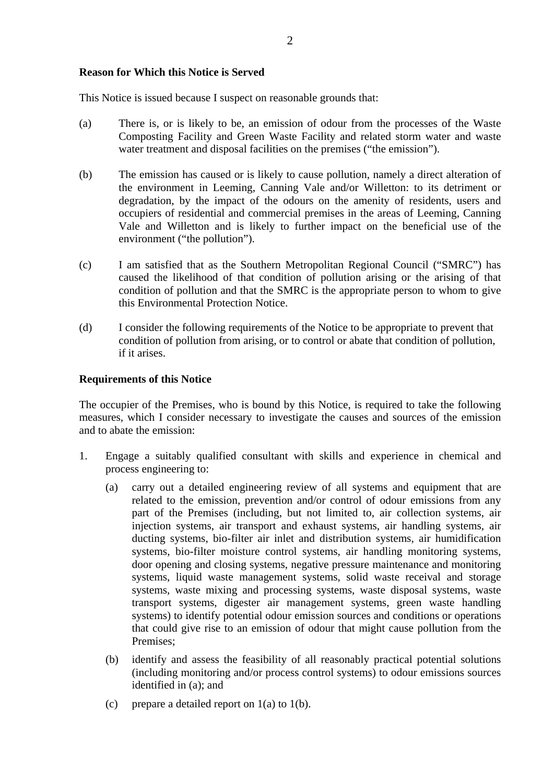#### **Reason for Which this Notice is Served**

This Notice is issued because I suspect on reasonable grounds that:

- (a) There is, or is likely to be, an emission of odour from the processes of the Waste Composting Facility and Green Waste Facility and related storm water and waste water treatment and disposal facilities on the premises ("the emission").
- (b) The emission has caused or is likely to cause pollution, namely a direct alteration of the environment in Leeming, Canning Vale and/or Willetton: to its detriment or degradation, by the impact of the odours on the amenity of residents, users and occupiers of residential and commercial premises in the areas of Leeming, Canning Vale and Willetton and is likely to further impact on the beneficial use of the environment ("the pollution").
- (c) I am satisfied that as the Southern Metropolitan Regional Council ("SMRC") has caused the likelihood of that condition of pollution arising or the arising of that condition of pollution and that the SMRC is the appropriate person to whom to give this Environmental Protection Notice.
- (d) I consider the following requirements of the Notice to be appropriate to prevent that condition of pollution from arising, or to control or abate that condition of pollution, if it arises.

#### **Requirements of this Notice**

The occupier of the Premises, who is bound by this Notice, is required to take the following measures, which I consider necessary to investigate the causes and sources of the emission and to abate the emission:

- 1. Engage a suitably qualified consultant with skills and experience in chemical and process engineering to:
	- (a) carry out a detailed engineering review of all systems and equipment that are related to the emission, prevention and/or control of odour emissions from any part of the Premises (including, but not limited to, air collection systems, air injection systems, air transport and exhaust systems, air handling systems, air ducting systems, bio-filter air inlet and distribution systems, air humidification systems, bio-filter moisture control systems, air handling monitoring systems, door opening and closing systems, negative pressure maintenance and monitoring systems, liquid waste management systems, solid waste receival and storage systems, waste mixing and processing systems, waste disposal systems, waste transport systems, digester air management systems, green waste handling systems) to identify potential odour emission sources and conditions or operations that could give rise to an emission of odour that might cause pollution from the Premises;
	- (b) identify and assess the feasibility of all reasonably practical potential solutions (including monitoring and/or process control systems) to odour emissions sources identified in (a); and
	- (c) prepare a detailed report on  $1(a)$  to  $1(b)$ .